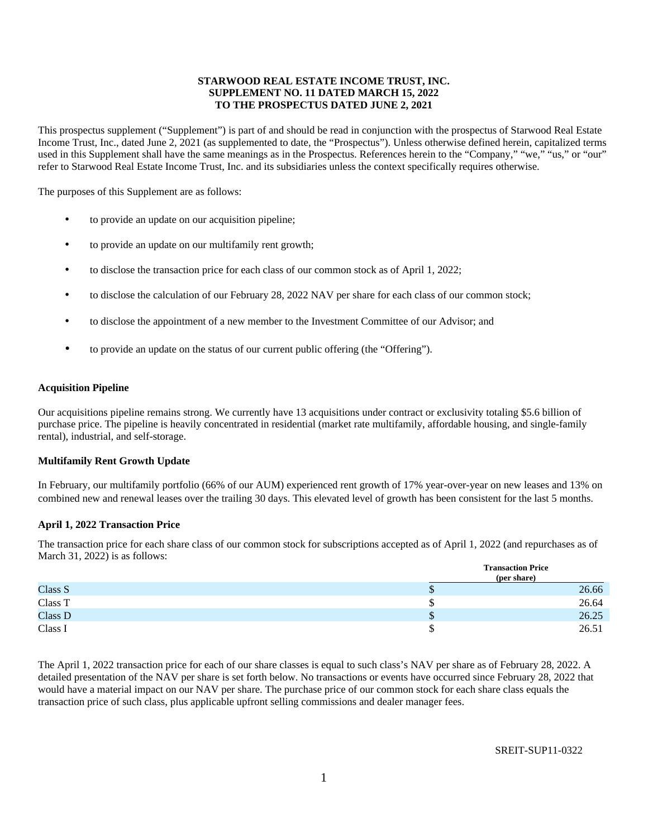# **STARWOOD REAL ESTATE INCOME TRUST, INC. SUPPLEMENT NO. 11 DATED MARCH 15, 2022 TO THE PROSPECTUS DATED JUNE 2, 2021**

This prospectus supplement ("Supplement") is part of and should be read in conjunction with the prospectus of Starwood Real Estate Income Trust, Inc., dated June 2, 2021 (as supplemented to date, the "Prospectus"). Unless otherwise defined herein, capitalized terms used in this Supplement shall have the same meanings as in the Prospectus. References herein to the "Company," "we," "us," or "our" refer to Starwood Real Estate Income Trust, Inc. and its subsidiaries unless the context specifically requires otherwise.

The purposes of this Supplement are as follows:

- to provide an update on our acquisition pipeline;
- to provide an update on our multifamily rent growth;
- to disclose the transaction price for each class of our common stock as of April 1, 2022;
- to disclose the calculation of our February 28, 2022 NAV per share for each class of our common stock;
- to disclose the appointment of a new member to the Investment Committee of our Advisor; and
- to provide an update on the status of our current public offering (the "Offering").

### **Acquisition Pipeline**

Our acquisitions pipeline remains strong. We currently have 13 acquisitions under contract or exclusivity totaling \$5.6 billion of purchase price. The pipeline is heavily concentrated in residential (market rate multifamily, affordable housing, and single-family rental), industrial, and self-storage.

### **Multifamily Rent Growth Update**

In February, our multifamily portfolio (66% of our AUM) experienced rent growth of 17% year-over-year on new leases and 13% on combined new and renewal leases over the trailing 30 days. This elevated level of growth has been consistent for the last 5 months.

# **April 1, 2022 Transaction Price**

The transaction price for each share class of our common stock for subscriptions accepted as of April 1, 2022 (and repurchases as of March 31, 2022) is as follows:

|         | <b>Transaction Price</b><br>(per share) |       |
|---------|-----------------------------------------|-------|
| Class S | D                                       | 26.66 |
| Class T |                                         | 26.64 |
| Class D | D                                       | 26.25 |
| Class I |                                         | 26.51 |

The April 1, 2022 transaction price for each of our share classes is equal to such class's NAV per share as of February 28, 2022. A detailed presentation of the NAV per share is set forth below. No transactions or events have occurred since February 28, 2022 that would have a material impact on our NAV per share. The purchase price of our common stock for each share class equals the transaction price of such class, plus applicable upfront selling commissions and dealer manager fees.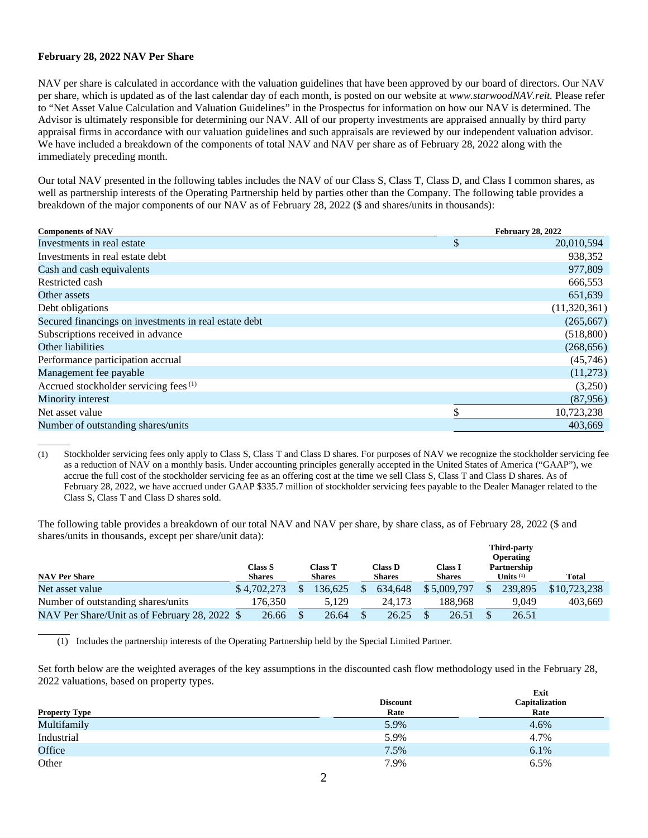## **February 28, 2022 NAV Per Share**

 $\overline{a}$ 

NAV per share is calculated in accordance with the valuation guidelines that have been approved by our board of directors. Our NAV per share, which is updated as of the last calendar day of each month, is posted on our website at *www.starwoodNAV.reit.* Please refer to "Net Asset Value Calculation and Valuation Guidelines" in the Prospectus for information on how our NAV is determined. The Advisor is ultimately responsible for determining our NAV. All of our property investments are appraised annually by third party appraisal firms in accordance with our valuation guidelines and such appraisals are reviewed by our independent valuation advisor. We have included a breakdown of the components of total NAV and NAV per share as of February 28, 2022 along with the immediately preceding month.

Our total NAV presented in the following tables includes the NAV of our Class S, Class T, Class D, and Class I common shares, as well as partnership interests of the Operating Partnership held by parties other than the Company. The following table provides a breakdown of the major components of our NAV as of February 28, 2022 (\$ and shares/units in thousands):

| <b>Components of NAV</b>                              | <b>February 28, 2022</b> |  |  |
|-------------------------------------------------------|--------------------------|--|--|
| Investments in real estate                            | \$<br>20,010,594         |  |  |
| Investments in real estate debt                       | 938,352                  |  |  |
| Cash and cash equivalents                             | 977,809                  |  |  |
| Restricted cash                                       | 666,553                  |  |  |
| Other assets                                          | 651,639                  |  |  |
| Debt obligations                                      | (11,320,361)             |  |  |
| Secured financings on investments in real estate debt | (265, 667)               |  |  |
| Subscriptions received in advance                     | (518,800)                |  |  |
| Other liabilities                                     | (268, 656)               |  |  |
| Performance participation accrual                     | (45,746)                 |  |  |
| Management fee payable                                | (11,273)                 |  |  |
| Accrued stockholder servicing fees <sup>(1)</sup>     | (3,250)                  |  |  |
| Minority interest                                     | (87,956)                 |  |  |
| Net asset value                                       | \$<br>10,723,238         |  |  |
| Number of outstanding shares/units                    | 403,669                  |  |  |
|                                                       |                          |  |  |

(1) Stockholder servicing fees only apply to Class S, Class T and Class D shares. For purposes of NAV we recognize the stockholder servicing fee as a reduction of NAV on a monthly basis. Under accounting principles generally accepted in the United States of America ("GAAP"), we accrue the full cost of the stockholder servicing fee as an offering cost at the time we sell Class S, Class T and Class D shares. As of February 28, 2022, we have accrued under GAAP \$335.7 million of stockholder servicing fees payable to the Dealer Manager related to the Class S, Class T and Class D shares sold.

The following table provides a breakdown of our total NAV and NAV per share, by share class, as of February 28, 2022 (\$ and shares/units in thousands, except per share/unit data):

|                                               |                                 |                                 |                                 |                          | <b>Third-party</b><br><b>Operating</b> |              |
|-----------------------------------------------|---------------------------------|---------------------------------|---------------------------------|--------------------------|----------------------------------------|--------------|
| <b>NAV Per Share</b>                          | <b>Class S</b><br><b>Shares</b> | <b>Class T</b><br><b>Shares</b> | <b>Class D</b><br><b>Shares</b> | Class I<br><b>Shares</b> | Partnership<br>Units $(1)$             | <b>Total</b> |
| Net asset value                               | \$4,702,273                     | 36.625                          | 634.648                         | \$5,009,797              | 239,895                                | \$10,723,238 |
| Number of outstanding shares/units            | 176.350                         | 5.129                           | 24.173                          | 188.968                  | 9,049                                  | 403.669      |
| NAV Per Share/Unit as of February 28, 2022 \$ | 26.66                           | 26.64                           | 26.25                           | 26.51                    | 26.51                                  |              |

(1) Includes the partnership interests of the Operating Partnership held by the Special Limited Partner.

Set forth below are the weighted averages of the key assumptions in the discounted cash flow methodology used in the February 28, 2022 valuations, based on property types. **Exit**

|                      | <b>Discount</b> | <b>EXIL</b><br>Capitalization |  |  |  |
|----------------------|-----------------|-------------------------------|--|--|--|
| <b>Property Type</b> | Rate            | Rate                          |  |  |  |
| Multifamily          | 5.9%            | 4.6%                          |  |  |  |
| Industrial           | 5.9%            | 4.7%                          |  |  |  |
| Office               | 7.5%            | 6.1%                          |  |  |  |
| Other                | 7.9%            | 6.5%                          |  |  |  |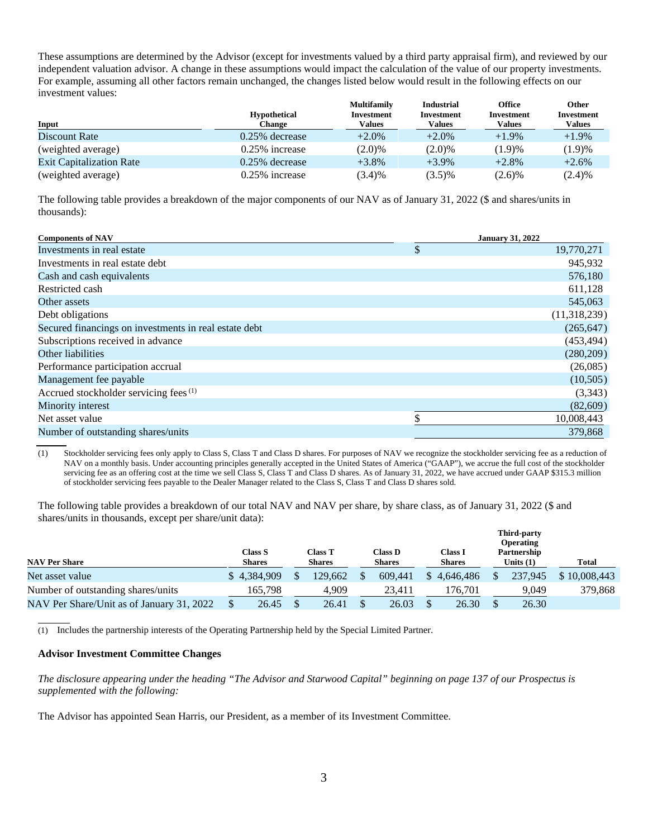These assumptions are determined by the Advisor (except for investments valued by a third party appraisal firm), and reviewed by our independent valuation advisor. A change in these assumptions would impact the calculation of the value of our property investments. For example, assuming all other factors remain unchanged, the changes listed below would result in the following effects on our investment values:

|                                 |                     | <b>Multifamily</b> | <b>Industrial</b> | <b>Office</b> | Other             |
|---------------------------------|---------------------|--------------------|-------------------|---------------|-------------------|
|                                 | <b>Hypothetical</b> | Investment         | Investment        | Investment    | <b>Investment</b> |
| Input                           | Change              | Values             | <b>Values</b>     | Values        | Values            |
| Discount Rate                   | $0.25\%$ decrease   | $+2.0\%$           | $+2.0\%$          | $+1.9\%$      | $+1.9\%$          |
| (weighted average)              | $0.25\%$ increase   | (2.0)%             | (2.0)%            | (1.9)%        | (1.9)%            |
| <b>Exit Capitalization Rate</b> | $0.25\%$ decrease   | $+3.8\%$           | $+3.9\%$          | $+2.8%$       | $+2.6%$           |
| (weighted average)              | $0.25\%$ increase   | (3.4)%             | $(3.5)\%$         | (2.6)%        | (2.4)%            |

The following table provides a breakdown of the major components of our NAV as of January 31, 2022 (\$ and shares/units in thousands):

| <b>Components of NAV</b>                              | <b>January 31, 2022</b> |
|-------------------------------------------------------|-------------------------|
| Investments in real estate                            | \$<br>19,770,271        |
| Investments in real estate debt                       | 945,932                 |
| Cash and cash equivalents                             | 576,180                 |
| Restricted cash                                       | 611,128                 |
| Other assets                                          | 545,063                 |
| Debt obligations                                      | (11,318,239)            |
| Secured financings on investments in real estate debt | (265, 647)              |
| Subscriptions received in advance                     | (453, 494)              |
| Other liabilities                                     | (280, 209)              |
| Performance participation accrual                     | (26,085)                |
| Management fee payable                                | (10,505)                |
| Accrued stockholder servicing fees <sup>(1)</sup>     | (3,343)                 |
| Minority interest                                     | (82,609)                |
| Net asset value                                       | 10,008,443              |
| Number of outstanding shares/units                    | 379,868                 |

(1) Stockholder servicing fees only apply to Class S, Class T and Class D shares. For purposes of NAV we recognize the stockholder servicing fee as a reduction of NAV on a monthly basis. Under accounting principles generally accepted in the United States of America ("GAAP"), we accrue the full cost of the stockholder servicing fee as an offering cost at the time we sell Class S, Class T and Class D shares. As of January 31, 2022, we have accrued under GAAP \$315.3 million of stockholder servicing fees payable to the Dealer Manager related to the Class S, Class T and Class D shares sold.

The following table provides a breakdown of our total NAV and NAV per share, by share class, as of January 31, 2022 (\$ and shares/units in thousands, except per share/unit data):

|                                           |                                 |                                 |                                 |                          | Third-party<br><b>Operating</b> |              |
|-------------------------------------------|---------------------------------|---------------------------------|---------------------------------|--------------------------|---------------------------------|--------------|
| <b>NAV Per Share</b>                      | <b>Class S</b><br><b>Shares</b> | <b>Class T</b><br><b>Shares</b> | <b>Class D</b><br><b>Shares</b> | Class I<br><b>Shares</b> | Partnership<br>Units $(1)$      | <b>Total</b> |
| Net asset value                           | \$4.384,909                     | 129.662                         | 609.441                         | 4.646.486                | 237,945                         | \$10,008,443 |
| Number of outstanding shares/units        | 165,798                         | 4.909                           | 23.411                          | 176.701                  | 9.049                           | 379,868      |
| NAV Per Share/Unit as of January 31, 2022 | 26.45                           | 26.41                           | 26.03                           | 26.30                    | 26.30                           |              |

 $\overline{a}$ (1) Includes the partnership interests of the Operating Partnership held by the Special Limited Partner.

### **Advisor Investment Committee Changes**

*The disclosure appearing under the heading "The Advisor and Starwood Capital" beginning on page 137 of our Prospectus is supplemented with the following:* 

The Advisor has appointed Sean Harris, our President, as a member of its Investment Committee.